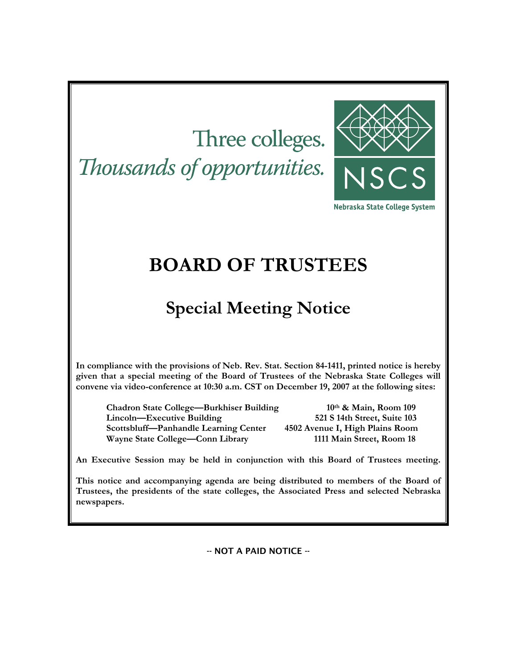# Three colleges. Thousands of opportunities.



Nebraska State College System

## **BOARD OF TRUSTEES**

## **Special Meeting Notice**

**In compliance with the provisions of Neb. Rev. Stat. Section 84-1411, printed notice is hereby given that a special meeting of the Board of Trustees of the Nebraska State Colleges will convene via video-conference at 10:30 a.m. CST on December 19, 2007 at the following sites:** 

**Chadron State College—Burkhiser Building 10th & Main, Room 109 Lincoln—Executive Building 521 S 14th Street, Suite 103 Scottsbluff—Panhandle Learning Center 4502 Avenue I, High Plains Room Wayne State College—Conn Library 1111 Main Street, Room 18** 

**An Executive Session may be held in conjunction with this Board of Trustees meeting.** 

**This notice and accompanying agenda are being distributed to members of the Board of Trustees, the presidents of the state colleges, the Associated Press and selected Nebraska newspapers.** 

-- NOT A PAID NOTICE --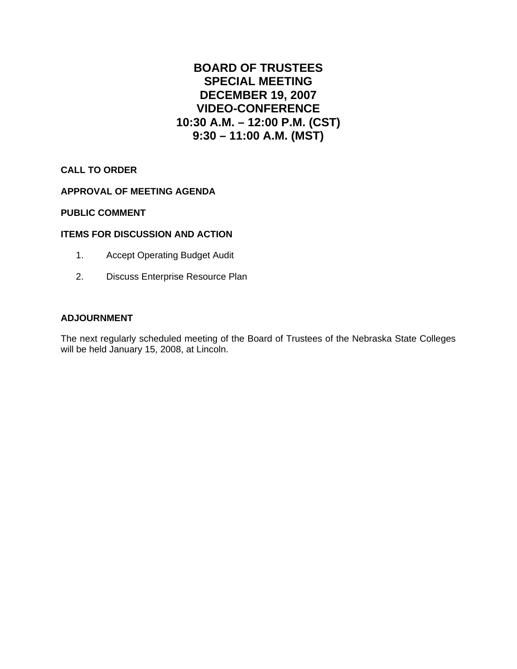### **BOARD OF TRUSTEES SPECIAL MEETING DECEMBER 19, 2007 VIDEO-CONFERENCE 10:30 A.M. – 12:00 P.M. (CST) 9:30 – 11:00 A.M. (MST)**

#### **CALL TO ORDER**

#### **APPROVAL OF MEETING AGENDA**

#### **PUBLIC COMMENT**

#### **ITEMS FOR DISCUSSION AND ACTION**

- 1. Accept Operating Budget Audit
- 2. Discuss Enterprise Resource Plan

#### **ADJOURNMENT**

The next regularly scheduled meeting of the Board of Trustees of the Nebraska State Colleges will be held January 15, 2008, at Lincoln.